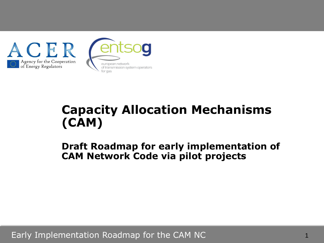

# **Capacity Allocation Mechanisms (CAM)**

**Draft Roadmap for early implementation of CAM Network Code via pilot projects**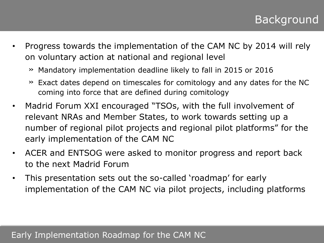- Progress towards the implementation of the CAM NC by 2014 will rely on voluntary action at national and regional level
	- » Mandatory implementation deadline likely to fall in 2015 or 2016
	- » Exact dates depend on timescales for comitology and any dates for the NC coming into force that are defined during comitology
- Madrid Forum XXI encouraged "TSOs, with the full involvement of relevant NRAs and Member States, to work towards setting up a number of regional pilot projects and regional pilot platforms" for the early implementation of the CAM NC
- ACER and ENTSOG were asked to monitor progress and report back to the next Madrid Forum
- This presentation sets out the so-called 'roadmap' for early implementation of the CAM NC via pilot projects, including platforms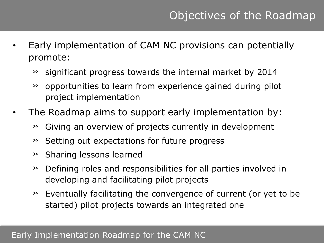- Early implementation of CAM NC provisions can potentially promote:
	- » significant progress towards the internal market by 2014
	- » opportunities to learn from experience gained during pilot project implementation
- The Roadmap aims to support early implementation by:
	- » Giving an overview of projects currently in development
	- » Setting out expectations for future progress
	- » Sharing lessons learned
	- » Defining roles and responsibilities for all parties involved in developing and facilitating pilot projects
	- » Eventually facilitating the convergence of current (or yet to be started) pilot projects towards an integrated one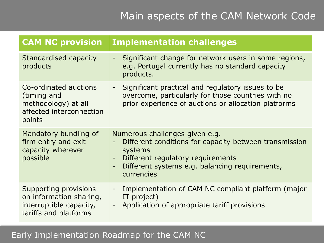| <b>CAM NC provision</b>                                                                              | <b>Implementation challenges</b>                                                                                                                                                                                                                                                             |
|------------------------------------------------------------------------------------------------------|----------------------------------------------------------------------------------------------------------------------------------------------------------------------------------------------------------------------------------------------------------------------------------------------|
| Standardised capacity<br>products                                                                    | Significant change for network users in some regions,<br>$\overline{\phantom{0}}$<br>e.g. Portugal currently has no standard capacity<br>products.                                                                                                                                           |
| Co-ordinated auctions<br>(timing and<br>methodology) at all<br>affected interconnection<br>points    | Significant practical and regulatory issues to be<br>$\blacksquare$<br>overcome, particularly for those countries with no<br>prior experience of auctions or allocation platforms                                                                                                            |
| Mandatory bundling of<br>firm entry and exit<br>capacity wherever<br>possible                        | Numerous challenges given e.g.<br>Different conditions for capacity between transmission<br>$\overline{\phantom{0}}$<br>systems<br>Different regulatory requirements<br>$\overline{\phantom{a}}$<br>Different systems e.g. balancing requirements,<br>$\overline{\phantom{a}}$<br>currencies |
| Supporting provisions<br>on information sharing,<br>interruptible capacity,<br>tariffs and platforms | Implementation of CAM NC compliant platform (major<br>$\overline{\phantom{0}}$<br>IT project)<br>Application of appropriate tariff provisions<br>$\overline{\phantom{0}}$                                                                                                                    |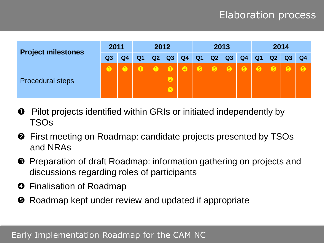# Elaboration process

| <b>Project milestones</b> | 2011           |    |    | 2012 |                                      |           |                | 2013           |           |           |                | 2014      |                |                |
|---------------------------|----------------|----|----|------|--------------------------------------|-----------|----------------|----------------|-----------|-----------|----------------|-----------|----------------|----------------|
|                           | Q <sub>3</sub> | Q4 | Q1 | Q2   | Q3                                   | Q4        | Q <sub>1</sub> | Q <sub>2</sub> | Q3        | Q4        | Q <sub>1</sub> | Q2        | Q <sub>3</sub> | Q <sub>4</sub> |
| <b>Procedural steps</b>   | $\mathbf 0$    |    |    |      | $\bigcirc$<br>$\bullet$<br>$\bullet$ | $\bullet$ | $\bullet$      | $\bullet$      | $\bullet$ | $\bullet$ | $\bullet$      | $\bullet$ | 6              | $\bullet$      |

- **O** Pilot projects identified within GRIs or initiated independently by TSOs
- **2** First meeting on Roadmap: candidate projects presented by TSOs and NRAs
- **B** Preparation of draft Roadmap: information gathering on projects and discussions regarding roles of participants
- **O** Finalisation of Roadmap
- **O** Roadmap kept under review and updated if appropriate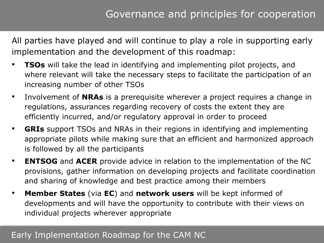All parties have played and will continue to play a role in supporting early implementation and the development of this roadmap:

- **TSOs** will take the lead in identifying and implementing pilot projects, and where relevant will take the necessary steps to facilitate the participation of an increasing number of other TSOs
- Involvement of **NRAs** is a prerequisite wherever a project requires a change in regulations, assurances regarding recovery of costs the extent they are efficiently incurred, and/or regulatory approval in order to proceed
- **GRIs** support TSOs and NRAs in their regions in identifying and implementing appropriate pilots while making sure that an efficient and harmonized approach is followed by all the participants
- **ENTSOG** and ACER provide advice in relation to the implementation of the NC provisions, gather information on developing projects and facilitate coordination and sharing of knowledge and best practice among their members
- **Member States** (via **EC**) and **network users** will be kept informed of developments and will have the opportunity to contribute with their views on individual projects wherever appropriate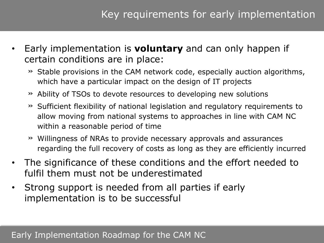- Early implementation is **voluntary** and can only happen if certain conditions are in place:
	- » Stable provisions in the CAM network code, especially auction algorithms, which have a particular impact on the design of IT projects
	- » Ability of TSOs to devote resources to developing new solutions
	- » Sufficient flexibility of national legislation and regulatory requirements to allow moving from national systems to approaches in line with CAM NC within a reasonable period of time
	- » Willingness of NRAs to provide necessary approvals and assurances regarding the full recovery of costs as long as they are efficiently incurred
- The significance of these conditions and the effort needed to fulfil them must not be underestimated
- Strong support is needed from all parties if early implementation is to be successful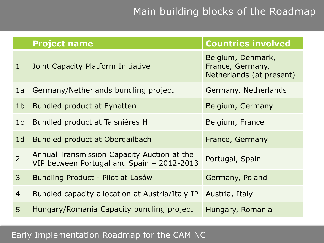# Main building blocks of the Roadmap

|                | <b>Project name</b>                                                                       | <b>Countries involved</b>                                         |
|----------------|-------------------------------------------------------------------------------------------|-------------------------------------------------------------------|
| $\mathbf{1}$   | Joint Capacity Platform Initiative                                                        | Belgium, Denmark,<br>France, Germany,<br>Netherlands (at present) |
| 1a             | Germany/Netherlands bundling project                                                      | Germany, Netherlands                                              |
| 1 <sub>b</sub> | Bundled product at Eynatten                                                               | Belgium, Germany                                                  |
| 1 <sub>c</sub> | Bundled product at Taisnières H                                                           | Belgium, France                                                   |
| 1 <sub>d</sub> | Bundled product at Obergailbach                                                           | France, Germany                                                   |
| $\overline{2}$ | Annual Transmission Capacity Auction at the<br>VIP between Portugal and Spain - 2012-2013 | Portugal, Spain                                                   |
| 3              | Bundling Product - Pilot at Lasów                                                         | Germany, Poland                                                   |
| $\overline{4}$ | Bundled capacity allocation at Austria/Italy IP                                           | Austria, Italy                                                    |
| 5              | Hungary/Romania Capacity bundling project                                                 | Hungary, Romania                                                  |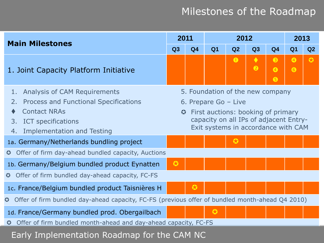| <b>Main Milestones</b>                                                                                                                                                                               | 2011                  |                |                                                                                                                                                                                 | 2012      |                              |                             | 2013                   |                |
|------------------------------------------------------------------------------------------------------------------------------------------------------------------------------------------------------|-----------------------|----------------|---------------------------------------------------------------------------------------------------------------------------------------------------------------------------------|-----------|------------------------------|-----------------------------|------------------------|----------------|
|                                                                                                                                                                                                      | Q3                    | Q <sub>4</sub> | Q <sub>1</sub>                                                                                                                                                                  | Q2        | Q3                           | Q <sub>4</sub>              | Q <sub>1</sub>         | Q <sub>2</sub> |
| 1. Joint Capacity Platform Initiative                                                                                                                                                                |                       |                |                                                                                                                                                                                 | $\bullet$ | $\blacklozenge$<br>$\bullet$ | $\bullet$<br>$\bullet$<br>6 | $\bullet$<br>$\bullet$ | $\bullet$      |
| <b>Analysis of CAM Requirements</b><br>1.<br><b>Process and Functional Specifications</b><br>2.<br><b>Contact NRAs</b><br><b>ICT</b> specifications<br>3.<br><b>Implementation and Testing</b><br>4. | $\boldsymbol{\Omega}$ |                | 5. Foundation of the new company<br>6. Prepare Go - Live<br>First auctions: booking of primary<br>capacity on all IPs of adjacent Entry-<br>Exit systems in accordance with CAM |           |                              |                             |                        |                |
| 1a. Germany/Netherlands bundling project<br>Offer of firm day-ahead bundled capacity, Auctions<br>$\boldsymbol{\omega}$                                                                              |                       |                |                                                                                                                                                                                 | $\bf{O}$  |                              |                             |                        |                |
| 1b. Germany/Belgium bundled product Eynatten<br>Offer of firm bundled day-ahead capacity, FC-FS<br>$\boldsymbol{\Omega}$                                                                             | $\bullet$             |                |                                                                                                                                                                                 |           |                              |                             |                        |                |
| 1c. France/Belgium bundled product Taisnières H<br>Offer of firm bundled day-ahead capacity, FC-FS (previous offer of bundled month-ahead Q4 2010)<br>$\bm{\bm{\omega}}$                             |                       | $\bullet$      |                                                                                                                                                                                 |           |                              |                             |                        |                |
| 1d. France/Germany bundled prod. Obergailbach<br>Offer of firm bundled month-ahead and day-ahead capacity, FC-FS<br>$\bullet$                                                                        |                       |                | $\bullet$                                                                                                                                                                       |           |                              |                             |                        |                |
| Early Implementation Roadmap for the CAM NC                                                                                                                                                          |                       |                |                                                                                                                                                                                 |           |                              |                             |                        |                |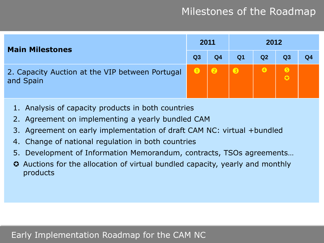| <b>Main Milestones</b>                                       | 2011      |                |                | 2012      |           |    |
|--------------------------------------------------------------|-----------|----------------|----------------|-----------|-----------|----|
|                                                              | Q3        | Q <sub>4</sub> | Q <sub>1</sub> | Q2        | Q3        | Q4 |
| 2. Capacity Auction at the VIP between Portugal<br>and Spain | $\bullet$ | 2              |                | $\bullet$ | $\bullet$ |    |

- 1. Analysis of capacity products in both countries
- 2. Agreement on implementing a yearly bundled CAM
- 3. Agreement on early implementation of draft CAM NC: virtual +bundled
- 4. Change of national regulation in both countries
- 5. Development of Information Memorandum, contracts, TSOs agreements…
- Auctions for the allocation of virtual bundled capacity, yearly and monthly products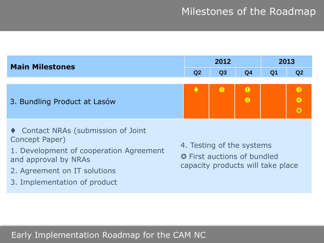| <b>Main Milestones</b>                                                                                                   |                                                                                                      | 2012      |                          |                | 2013                  |
|--------------------------------------------------------------------------------------------------------------------------|------------------------------------------------------------------------------------------------------|-----------|--------------------------|----------------|-----------------------|
|                                                                                                                          | Q <sub>2</sub>                                                                                       | Q3        | Q <sub>4</sub>           | Q <sub>1</sub> | Q2                    |
|                                                                                                                          |                                                                                                      |           |                          |                |                       |
| 3. Bundling Product at Lasów                                                                                             |                                                                                                      | $\bullet$ | $\mathbf 0$<br>$\bullet$ |                | ❸<br>$\boldsymbol{0}$ |
| ♦ Contact NRAs (submission of Joint<br>Concept Paper)<br>1. Development of cooperation Agreement<br>and approval by NRAs | 4. Testing of the systems<br><b>C</b> First auctions of bundled<br>capacity products will take place |           |                          |                |                       |
| 2. Agreement on IT solutions                                                                                             |                                                                                                      |           |                          |                |                       |

3. Implementation of product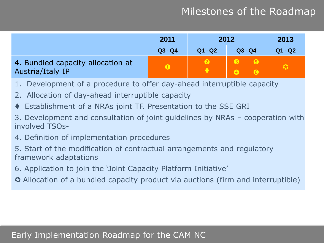|                                                       | 2011      |                  | 2012      | 2013      |
|-------------------------------------------------------|-----------|------------------|-----------|-----------|
|                                                       | $Q3 - Q4$ | $Q1 - Q2$        | $Q3 - Q4$ | $Q1 - Q2$ |
| 4. Bundled capacity allocation at<br>Austria/Italy IP | $\bullet$ | $\boldsymbol{e}$ | 6         |           |

- 1. Development of a procedure to offer day-ahead interruptible capacity
- 2. Allocation of day-ahead interruptible capacity
- Establishment of a NRAs joint TF. Presentation to the SSE GRI
- 3. Development and consultation of joint guidelines by NRAs cooperation with involved TSOs-
- 4. Definition of implementation procedures
- 5. Start of the modification of contractual arrangements and regulatory framework adaptations
- 6. Application to join the "Joint Capacity Platform Initiative"
- Allocation of a bundled capacity product via auctions (firm and interruptible)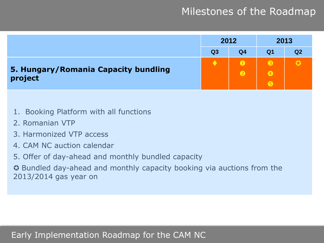

- 1. Booking Platform with all functions
- 2. Romanian VTP
- 3. Harmonized VTP access
- 4. CAM NC auction calendar
- 5. Offer of day-ahead and monthly bundled capacity

 Bundled day-ahead and monthly capacity booking via auctions from the 2013/2014 gas year on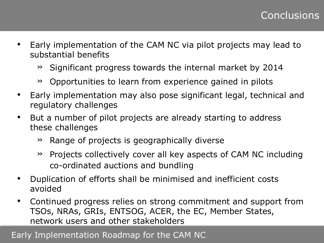- Early implementation of the CAM NC via pilot projects may lead to substantial benefits
	- » Significant progress towards the internal market by 2014
	- » Opportunities to learn from experience gained in pilots
- Early implementation may also pose significant legal, technical and regulatory challenges
- But a number of pilot projects are already starting to address these challenges
	- » Range of projects is geographically diverse
	- » Projects collectively cover all key aspects of CAM NC including co-ordinated auctions and bundling
- Duplication of efforts shall be minimised and inefficient costs avoided
- Continued progress relies on strong commitment and support from TSOs, NRAs, GRIs, ENTSOG, ACER, the EC, Member States, network users and other stakeholders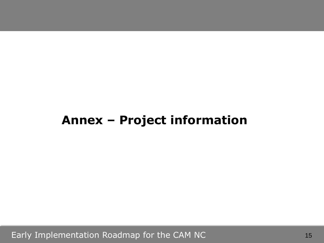# **Annex – Project information**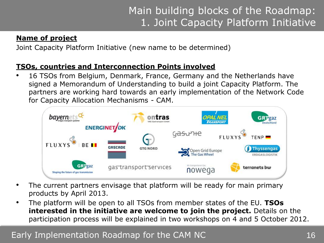#### **Name of project**

Joint Capacity Platform Initiative (new name to be determined)

#### **TSOs, countries and Interconnection Points involved**

• 16 TSOs from Belgium, Denmark, France, Germany and the Netherlands have signed a Memorandum of Understanding to build a joint Capacity Platform. The partners are working hard towards an early implementation of the Network Code for Capacity Allocation Mechanisms - CAM.



- The current partners envisage that platform will be ready for main primary products by April 2013.
- The platform will be open to all TSOs from member states of the EU. **TSOs interested in the initiative are welcome to join the project.** Details on the participation process will be explained in two workshops on 4 and 5 October 2012.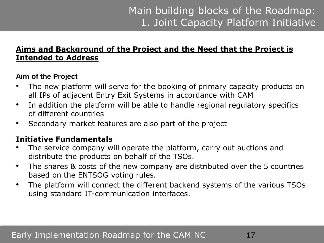#### **Aims and Background of the Project and the Need that the Project is Intended to Address**

#### **Aim of the Project**

- The new platform will serve for the booking of primary capacity products on all IPs of adjacent Entry Exit Systems in accordance with CAM
- In addition the platform will be able to handle regional regulatory specifics of different countries
- Secondary market features are also part of the project

#### **Initiative Fundamentals**

- The service company will operate the platform, carry out auctions and distribute the products on behalf of the TSOs.
- The shares & costs of the new company are distributed over the 5 countries based on the ENTSOG voting rules.
- The platform will connect the different backend systems of the various TSOs using standard IT-communication interfaces.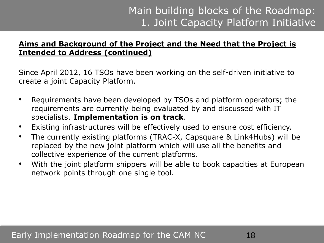#### **Aims and Background of the Project and the Need that the Project is Intended to Address (continued)**

Since April 2012, 16 TSOs have been working on the self-driven initiative to create a joint Capacity Platform.

- Requirements have been developed by TSOs and platform operators; the requirements are currently being evaluated by and discussed with IT specialists. **Implementation is on track**.
- Existing infrastructures will be effectively used to ensure cost efficiency.
- The currently existing platforms (TRAC-X, Capsquare & Link4Hubs) will be replaced by the new joint platform which will use all the benefits and collective experience of the current platforms.
- With the joint platform shippers will be able to book capacities at European network points through one single tool.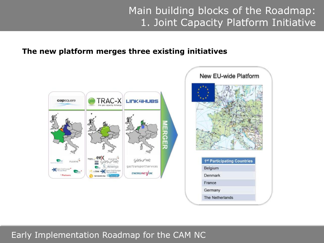#### **The new platform merges three existing initiatives**

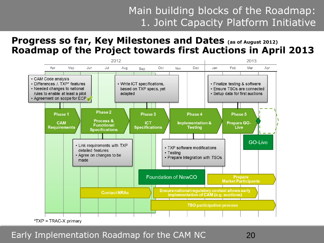### **Progress so far, Key Milestones and Dates (as of August 2012) Roadmap of the Project towards first Auctions in April 2013**

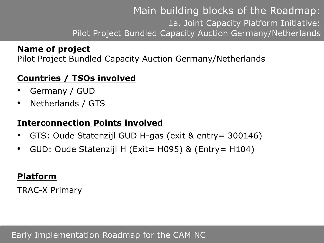## **Name of project**

Pilot Project Bundled Capacity Auction Germany/Netherlands

## **Countries / TSOs involved**

- $\mathcal{D}$ • Germany / GUD
- Netherlands / GTS

## **Interconnection Points involved**

- GTS: Oude Statenzijl GUD H-gas (exit & entry= 300146)
- GUD: Oude Statenzijl H (Exit= H095) & (Entry= H104)

## **Platform**

TRAC-X Primary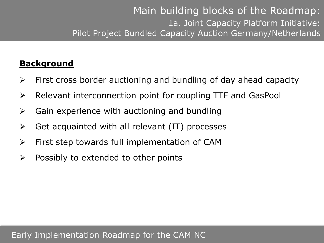### **Background**

- $\triangleright$  First cross border auctioning and bundling of day ahead capacity
- $\triangleright$  Relevant interconnection point for coupling TTF and GasPool
- $\triangleright$  Gain experience with auctioning and bundling
- $\triangleright$  Get acquainted with all relevant (IT) processes
- $\triangleright$  First step towards full implementation of CAM
- $\triangleright$  Possibly to extended to other points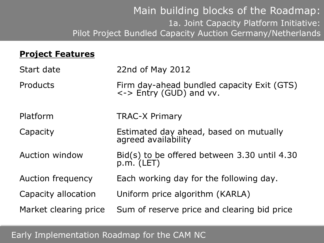### **Project Features**

| Start date            | 22nd of May 2012                                                      |
|-----------------------|-----------------------------------------------------------------------|
| Products              | Firm day-ahead bundled capacity Exit (GTS)<br><-> Entry (GUD) and vv. |
| Platform              | <b>TRAC-X Primary</b>                                                 |
| Capacity              | Estimated day ahead, based on mutually<br>agreed availability         |
| <b>Auction window</b> | Bid(s) to be offered between 3.30 until 4.30<br>$p.m.$ (LET)          |
| Auction frequency     | Each working day for the following day.                               |
| Capacity allocation   | Uniform price algorithm (KARLA)                                       |
| Market clearing price | Sum of reserve price and clearing bid price                           |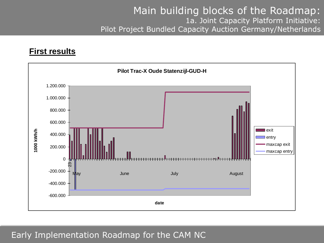#### **First results**

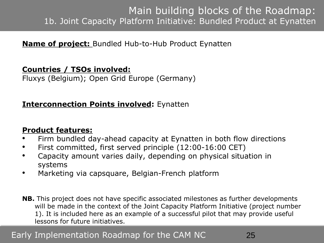## Main building blocks of the Roadmap: 1b. Joint Capacity Platform Initiative: Bundled Product at Eynatten

### **Name of project:** Bundled Hub-to-Hub Product Eynatten

#### **Countries / TSOs involved:**

Fluxys (Belgium); Open Grid Europe (Germany)

### **Interconnection Points involved:** Eynatten

#### **Product features:**

- Firm bundled day-ahead capacity at Eynatten in both flow directions
- First committed, first served principle (12:00-16:00 CET)
- Capacity amount varies daily, depending on physical situation in systems
- Marketing via capsquare, Belgian-French platform
- **NB.** This project does not have specific associated milestones as further developments will be made in the context of the Joint Capacity Platform Initiative (project number 1). It is included here as an example of a successful pilot that may provide useful lessons for future initiatives.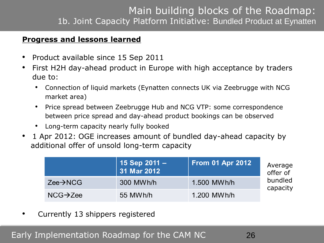## Main building blocks of the Roadmap: 1b. Joint Capacity Platform Initiative: Bundled Product at Eynatten

#### **Progress and lessons learned**

- Product available since 15 Sep 2011
- First H2H day-ahead product in Europe with high acceptance by traders due to:
	- Connection of liquid markets (Eynatten connects UK via Zeebrugge with NCG market area)
	- Price spread between Zeebrugge Hub and NCG VTP: some correspondence between price spread and day-ahead product bookings can be observed
	- Long-term capacity nearly fully booked
- 1 Apr 2012: OGE increases amount of bundled day-ahead capacity by additional offer of unsold long-term capacity

|                       | 15 Sep $2011 -$<br>31 Mar 2012 | <b>From 01 Apr 2012</b> | Average<br>offer of |
|-----------------------|--------------------------------|-------------------------|---------------------|
| $Zee \rightarrow NCG$ | 300 MWh/h                      | 1.500 MWh/h             | bundled<br>capacity |
| $NCG \rightarrow Zee$ | 55 MWh/h                       | 1.200 MWh/h             |                     |

• Currently 13 shippers registered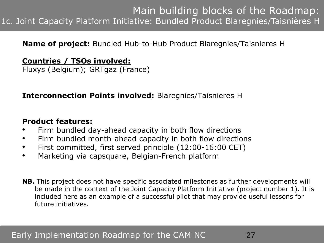## Main building blocks of the Roadmap: 1c. Joint Capacity Platform Initiative: Bundled Product Blaregnies/Taisnières H

#### **Name of project:** Bundled Hub-to-Hub Product Blaregnies/Taisnieres H

### **Countries / TSOs involved:**

Fluxys (Belgium); GRTgaz (France)

#### **Interconnection Points involved:** Blaregnies/Taisnieres H

### **Product features:**

- Firm bundled day-ahead capacity in both flow directions
- Firm bundled month-ahead capacity in both flow directions
- First committed, first served principle (12:00-16:00 CET)
- Marketing via capsquare, Belgian-French platform
- **NB.** This project does not have specific associated milestones as further developments will be made in the context of the Joint Capacity Platform Initiative (project number 1). It is included here as an example of a successful pilot that may provide useful lessons for future initiatives.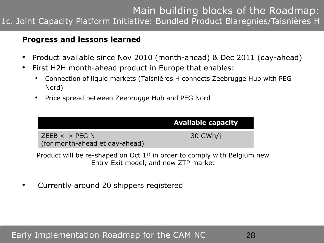# Main building blocks of the Roadmap:

1c. Joint Capacity Platform Initiative: Bundled Product Blaregnies/Taisnières H

#### **Progress and lessons learned**

- Product available since Nov 2010 (month-ahead) & Dec 2011 (day-ahead)
- First H2H month-ahead product in Europe that enables:
	- Connection of liquid markets (Taisnières H connects Zeebrugge Hub with PEG Nord)
	- Price spread between Zeebrugge Hub and PEG Nord

|                                                       | <b>Available capacity</b> |
|-------------------------------------------------------|---------------------------|
| ZEEB $\lt$ -> PEG N<br>(for month-ahead et day-ahead) | 30 GWh/i                  |

Product will be re-shaped on Oct 1st in order to comply with Belgium new Entry-Exit model, and new ZTP market

• Currently around 20 shippers registered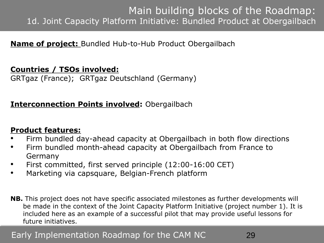## Main building blocks of the Roadmap: 1d. Joint Capacity Platform Initiative: Bundled Product at Obergailbach

### **Name of project:** Bundled Hub-to-Hub Product Obergailbach

#### **Countries / TSOs involved:**

GRTgaz (France); GRTgaz Deutschland (Germany)

### **Interconnection Points involved:** Obergailbach

#### **Product features:**

- Firm bundled day-ahead capacity at Obergailbach in both flow directions
- Firm bundled month-ahead capacity at Obergailbach from France to Germany
- First committed, first served principle (12:00-16:00 CET)
- Marketing via capsquare, Belgian-French platform
- **NB.** This project does not have specific associated milestones as further developments will be made in the context of the Joint Capacity Platform Initiative (project number 1). It is included here as an example of a successful pilot that may provide useful lessons for future initiatives.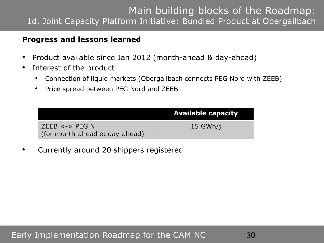## Main building blocks of the Roadmap: 1d. Joint Capacity Platform Initiative: Bundled Product at Obergailbach

#### **Progress and lessons learned**

- Product available since Jan 2012 (month-ahead & day-ahead)
- Interest of the product
	- Connection of liquid markets (Obergailbach connects PEG Nord with ZEEB)
	- Price spread between PEG Nord and ZEEB

|                                                      | <b>Available capacity</b> |
|------------------------------------------------------|---------------------------|
| $ZEEB \prec PEG N$<br>(for month-ahead et day-ahead) | $15$ GWh/i                |

• Currently around 20 shippers registered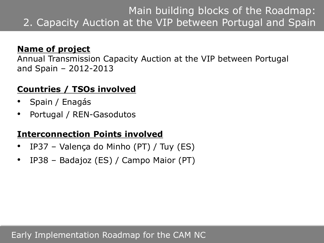## **Name of project**

Annual Transmission Capacity Auction at the VIP between Portugal and Spain – 2012-2013

## **Countries / TSOs involved**

- Spain / Enagás
- Portugal / REN-Gasodutos

## **Interconnection Points involved**

- IP37 Valença do Minho (PT) / Tuy (ES)
- IP38 Badajoz (ES) / Campo Maior (PT)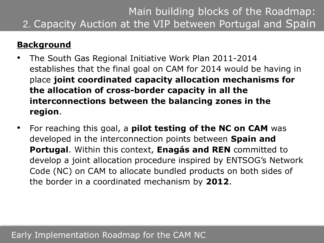## **Background**

- The South Gas Regional Initiative Work Plan 2011-2014 establishes that the final goal on CAM for 2014 would be having in place **joint coordinated capacity allocation mechanisms for the allocation of cross-border capacity in all the interconnections between the balancing zones in the region**.
- For reaching this goal, a **pilot testing of the NC on CAM** was developed in the interconnection points between **Spain and Portugal**. Within this context, **Enagás and REN** committed to develop a joint allocation procedure inspired by ENTSOG"s Network Code (NC) on CAM to allocate bundled products on both sides of the border in a coordinated mechanism by **2012**.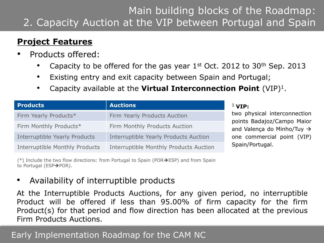## **Project Features**

- Products offered:
	- Capacity to be offered for the gas year  $1<sup>st</sup>$  Oct. 2012 to 30<sup>th</sup> Sep. 2013
	- Existing entry and exit capacity between Spain and Portugal;
	- Capacity available at the **Virtual Interconnection Point** (VIP)<sup>1</sup>.

| <b>Products</b>                | <b>Auctions</b>                              |
|--------------------------------|----------------------------------------------|
| Firm Yearly Products*          | Firm Yearly Products Auction                 |
| Firm Monthly Products*         | Firm Monthly Products Auction                |
| Interruptible Yearly Products  | <b>Interruptible Yearly Products Auction</b> |
| Interruptible Monthly Products | Interruptible Monthly Products Auction       |

 $(*)$  Include the two flow directions: from Portugal to Spain (POR $\rightarrow$ ESP) and from Spain to Portugal (ESP $\rightarrow$ POR).

### • Availability of interruptible products

At the Interruptible Products Auctions, for any given period, no interruptible Product will be offered if less than 95.00% of firm capacity for the firm Product(s) for that period and flow direction has been allocated at the previous Firm Products Auctions.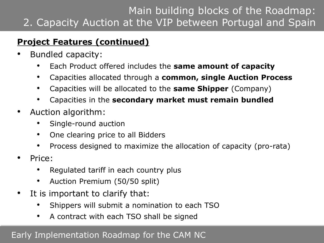# **Project Features (continued)**

- Bundled capacity:
	- Each Product offered includes the **same amount of capacity**
	- Capacities allocated through a **common, single Auction Process**
	- Capacities will be allocated to the **same Shipper** (Company)
	- Capacities in the **secondary market must remain bundled**
- Auction algorithm:
	- Single-round auction
	- One clearing price to all Bidders
	- Process designed to maximize the allocation of capacity (pro-rata)
- Price:
	- Regulated tariff in each country plus
	- Auction Premium (50/50 split)
- It is important to clarify that:
	- Shippers will submit a nomination to each TSO
	- A contract with each TSO shall be signed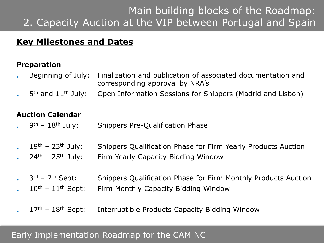## **Key Milestones and Dates**

### **Preparation**

- . Beginning of July: Finalization and publication of associated documentation and corresponding approval by NRA"s
- 5<sup>th</sup> and 11<sup>th</sup> July: Open Information Sessions for Shippers (Madrid and Lisbon)

#### **Auction Calendar**

- 9<sup>th</sup> 18<sup>th</sup> July: Shippers Pre-Qualification Phase
- 19<sup>th</sup> 23<sup>th</sup> July: Shippers Qualification Phase for Firm Yearly Products Auction
- $24<sup>th</sup>$  25<sup>th</sup> July: Firm Yearly Capacity Bidding Window
- 3<sup>rd</sup> 7<sup>th</sup> Sept: Shippers Qualification Phase for Firm Monthly Products Auction
- $10<sup>th</sup>$   $11<sup>th</sup>$  Sept: Firm Monthly Capacity Bidding Window
- $17<sup>th</sup>$   $18<sup>th</sup>$  Sept: Interruptible Products Capacity Bidding Window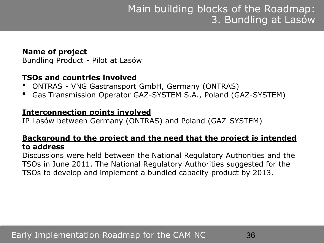#### **Name of project**

Bundling Product - Pilot at Lasów

### **TSOs and countries involved**

- ONTRAS VNG Gastransport GmbH, Germany (ONTRAS)
- Gas Transmission Operator GAZ-SYSTEM S.A., Poland (GAZ-SYSTEM)

#### **Interconnection points involved**

IP Lasów between Germany (ONTRAS) and Poland (GAZ-SYSTEM)

#### **Background to the project and the need that the project is intended to address**

Discussions were held between the National Regulatory Authorities and the TSOs in June 2011. The National Regulatory Authorities suggested for the TSOs to develop and implement a bundled capacity product by 2013.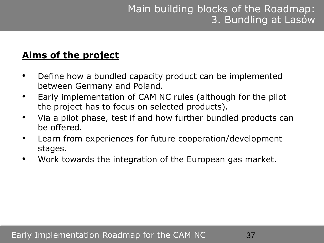# **Aims of the project**

- Define how a bundled capacity product can be implemented between Germany and Poland.
- Early implementation of CAM NC rules (although for the pilot the project has to focus on selected products).
- Via a pilot phase, test if and how further bundled products can be offered.
- Learn from experiences for future cooperation/development stages.
- Work towards the integration of the European gas market.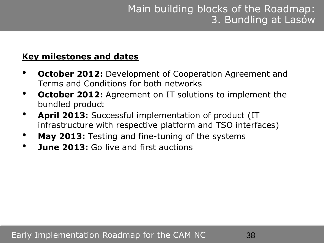### **Key milestones and dates**

- **October 2012:** Development of Cooperation Agreement and Terms and Conditions for both networks
- **October 2012:** Agreement on IT solutions to implement the bundled product
- **April 2013:** Successful implementation of product (IT infrastructure with respective platform and TSO interfaces)
- **May 2013:** Testing and fine-tuning of the systems
- **June 2013:** Go live and first auctions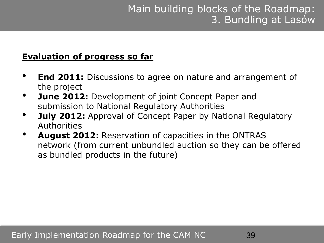## **Evaluation of progress so far**

- **End 2011:** Discussions to agree on nature and arrangement of the project
- **June 2012:** Development of joint Concept Paper and submission to National Regulatory Authorities
- **July 2012:** Approval of Concept Paper by National Regulatory Authorities
- **August 2012:** Reservation of capacities in the ONTRAS network (from current unbundled auction so they can be offered as bundled products in the future)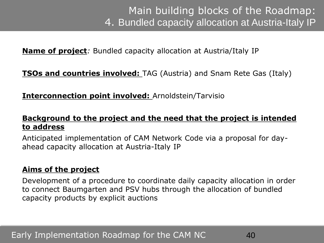**Name of project***:* Bundled capacity allocation at Austria/Italy IP

**TSOs and countries involved:** TAG (Austria) and Snam Rete Gas (Italy)

**Interconnection point involved:** Arnoldstein/Tarvisio

### **Background to the project and the need that the project is intended to address**

Anticipated implementation of CAM Network Code via a proposal for dayahead capacity allocation at Austria-Italy IP

### **Aims of the project**

Development of a procedure to coordinate daily capacity allocation in order to connect Baumgarten and PSV hubs through the allocation of bundled capacity products by explicit auctions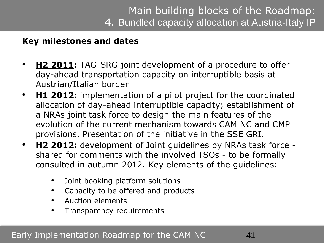## **Key milestones and dates**

- **H2 2011:** TAG-SRG joint development of a procedure to offer day-ahead transportation capacity on interruptible basis at Austrian/Italian border
- **H1 2012:** implementation of a pilot project for the coordinated allocation of day-ahead interruptible capacity; establishment of a NRAs joint task force to design the main features of the evolution of the current mechanism towards CAM NC and CMP provisions. Presentation of the initiative in the SSE GRI.
- **H2 2012:** development of Joint guidelines by NRAs task force shared for comments with the involved TSOs - to be formally consulted in autumn 2012. Key elements of the guidelines:
	- Joint booking platform solutions
	- Capacity to be offered and products
	- Auction elements
	- Transparency requirements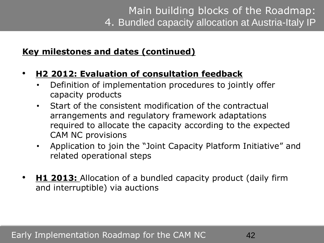## **Key milestones and dates (continued)**

## • **H2 2012: Evaluation of consultation feedback**

- Definition of implementation procedures to jointly offer capacity products
- Start of the consistent modification of the contractual arrangements and regulatory framework adaptations required to allocate the capacity according to the expected CAM NC provisions
- Application to join the "Joint Capacity Platform Initiative" and related operational steps
- **H1 2013:** Allocation of a bundled capacity product (daily firm and interruptible) via auctions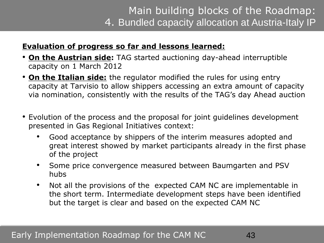# Main building blocks of the Roadmap: 4. Bundled capacity allocation at Austria-Italy IP

#### **Evaluation of progress so far and lessons learned:**

- **On the Austrian side:** TAG started auctioning day-ahead interruptible capacity on 1 March 2012
- **On the Italian side:** the regulator modified the rules for using entry capacity at Tarvisio to allow shippers accessing an extra amount of capacity via nomination, consistently with the results of the TAG"s day Ahead auction
- Evolution of the process and the proposal for joint guidelines development presented in Gas Regional Initiatives context:
	- Good acceptance by shippers of the interim measures adopted and great interest showed by market participants already in the first phase of the project
	- Some price convergence measured between Baumgarten and PSV hubs
	- Not all the provisions of the expected CAM NC are implementable in the short term. Intermediate development steps have been identified but the target is clear and based on the expected CAM NC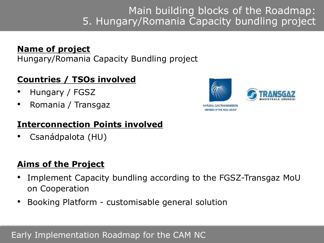## **Name of project**

Hungary/Romania Capacity Bundling project

## **Countries / TSOs involved**

- Hungary / FGSZ
- Romania / Transgaz

## **Interconnection Points involved**

• Csanádpalota (HU)

## **Aims of the Project**

- Implement Capacity bundling according to the FGSZ-Transgaz MoU on Cooperation
- Booking Platform customisable general solution





NATHRAL GAS TRANSMISSION **MEMBER OF THE MOL GROUP**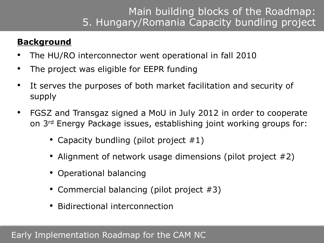## **Background**

- The HU/RO interconnector went operational in fall 2010
- The project was eligible for EEPR funding
- It serves the purposes of both market facilitation and security of supply
- FGSZ and Transgaz signed a MoU in July 2012 in order to cooperate on 3rd Energy Package issues, establishing joint working groups for:
	- Capacity bundling (pilot project #1)
	- Alignment of network usage dimensions (pilot project #2)
	- Operational balancing
	- Commercial balancing (pilot project #3)
	- Bidirectional interconnection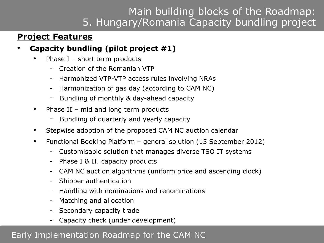## **Project Features**

- **Capacity bundling (pilot project #1)**
	- Phase  $I$  short term products
		- Creation of the Romanian VTP
		- Harmonized VTP-VTP access rules involving NRAs
		- Harmonization of gas day (according to CAM NC)
		- Bundling of monthly & day-ahead capacity
	- Phase II mid and long term products
		- Bundling of quarterly and yearly capacity
	- Stepwise adoption of the proposed CAM NC auction calendar
	- Functional Booking Platform general solution (15 September 2012)
		- Customisable solution that manages diverse TSO IT systems
		- Phase I & II. capacity products
		- CAM NC auction algorithms (uniform price and ascending clock)
		- Shipper authentication
		- Handling with nominations and renominations
		- Matching and allocation
		- Secondary capacity trade
		- Capacity check (under development)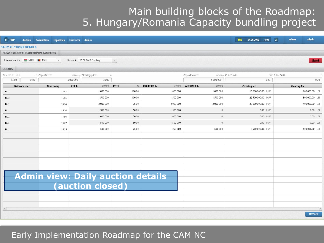| IP RBP<br><b>Auction</b>                                                 | <b>Nomination</b><br><b>Capacities</b> | <b>Admin</b><br><b>Contracts</b>                             |                          |                     |                       | 04.09.2012 16:01<br><b>UTC</b> | $\mathcal{S}$<br>admin<br>admin |
|--------------------------------------------------------------------------|----------------------------------------|--------------------------------------------------------------|--------------------------|---------------------|-----------------------|--------------------------------|---------------------------------|
| <b>DAILY AUCTIONS DETAILS</b>                                            |                                        |                                                              |                          |                     |                       |                                |                                 |
| PLEASE SELECT THE AUCTION PARAMETERS!                                    |                                        |                                                              |                          |                     |                       |                                |                                 |
| Interconnector: HUN > ROU                                                | $\overline{\mathbf v}$                 | Product: 05.09.2012 Gas Day                                  | $\overline{\phantom{a}}$ |                     |                       |                                | <b>Closed</b>                   |
| <b>DETAILS</b>                                                           |                                        |                                                              |                          |                     |                       |                                |                                 |
| LEI Cap. offered:<br>kWh/day Clearing price:<br>Reserve p.: HUF<br>$-96$ |                                        |                                                              |                          | Cap. allocated:     | kWh/day C. fee/unit:  | HUF C. fee/unit:<br>LEI        |                                 |
| 0.16<br>12.00                                                            |                                        | 5 000 000<br>25.00                                           |                          |                     | 5 000 000             | 15.00                          | 0.20                            |
| Network user                                                             | Timestamp                              | Bid q.<br>kWh/d                                              | Price<br>96              | Minimum q.<br>kWh/d | Allocated q.<br>kWh/d | <b>Clearing fee</b>            | <b>Clearing fee</b>             |
| NU1                                                                      | 15:53                                  | 1 000 000                                                    | 100.00                   | 1 000 000           | 1 000 000             | 15 000 000.00 HUF              | 200 000.00 LEI                  |
| NU <sub>2</sub>                                                          | 15:55                                  | 1500000                                                      | 100.00                   | 1 500 000           | 1500000               | 22 500 000.00 HUF              | 300 000.00 LEI                  |
| NU <sub>2</sub>                                                          | 15:56                                  | 2 000 000                                                    | 75.00                    | 2 000 000           | 2 000 000             | 30 000 000.00 HUF              | 400 000.00 LEI                  |
| NU1                                                                      | 15:54                                  | 1500000                                                      | 50.00                    | 1 500 000           | $\mathbf{0}$          | 0.00 HUF                       | 0.00 LEI                        |
| NU <sub>2</sub>                                                          | 15:56                                  | 1 000 000                                                    | 50.00                    | 1 000 000           | $\mathbf{0}$          | 0.00 HUF                       | 0.00 LEI                        |
| NU3                                                                      | 15:57                                  | 1500000                                                      | 50.00                    | 1500000             | $\mathbf 0$           | 0.00 HUF                       | 0.00 LEI                        |
| NU1                                                                      | 15:55                                  | 500 000                                                      | 25.00                    | 250 000             | 500 000               | 7 500 000.00 HUF               | 100 000.00 LEI                  |
|                                                                          |                                        |                                                              |                          |                     |                       |                                |                                 |
|                                                                          |                                        |                                                              |                          |                     |                       |                                |                                 |
|                                                                          |                                        |                                                              |                          |                     |                       |                                |                                 |
|                                                                          |                                        |                                                              |                          |                     |                       |                                |                                 |
|                                                                          |                                        |                                                              |                          |                     |                       |                                |                                 |
|                                                                          |                                        |                                                              |                          |                     |                       |                                |                                 |
|                                                                          |                                        |                                                              |                          |                     |                       |                                |                                 |
|                                                                          |                                        | <b>Admin view: Daily auction details</b><br>(auction closed) |                          |                     |                       |                                |                                 |
|                                                                          |                                        |                                                              |                          |                     |                       |                                |                                 |
|                                                                          |                                        |                                                              |                          |                     |                       |                                |                                 |
|                                                                          |                                        |                                                              |                          |                     |                       |                                |                                 |
|                                                                          |                                        |                                                              |                          |                     |                       |                                |                                 |
| $\left\vert \mathcal{A}\right\vert$                                      |                                        |                                                              |                          |                     |                       |                                | $\mathbb{R}$                    |
|                                                                          |                                        |                                                              |                          |                     |                       |                                | <b>Overview</b>                 |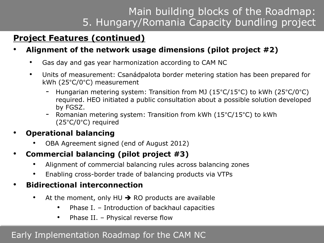# **Project Features (continued)**

## • **Alignment of the network usage dimensions (pilot project #2)**

- Gas day and gas year harmonization according to CAM NC
- Units of measurement: Csanádpalota border metering station has been prepared for kWh (25°C/0°C) measurement
	- Hungarian metering system: Transition from MJ ( $15^{\circ}$ C/15°C) to kWh ( $25^{\circ}$ C/0°C) required. HEO initiated a public consultation about a possible solution developed by FGSZ.
	- Romanian metering system: Transition from kWh  $(15^{\circ}C/15^{\circ}C)$  to kWh (25°C/0°C) required

## • **Operational balancing**

- OBA Agreement signed (end of August 2012)
- **Commercial balancing (pilot project #3)**
	- Alignment of commercial balancing rules across balancing zones
	- Enabling cross-border trade of balancing products via VTPs

## • **Bidirectional interconnection**

- At the moment, only HU  $\rightarrow$  RO products are available
	- Phase I. Introduction of backhaul capacities
	- Phase II. Physical reverse flow